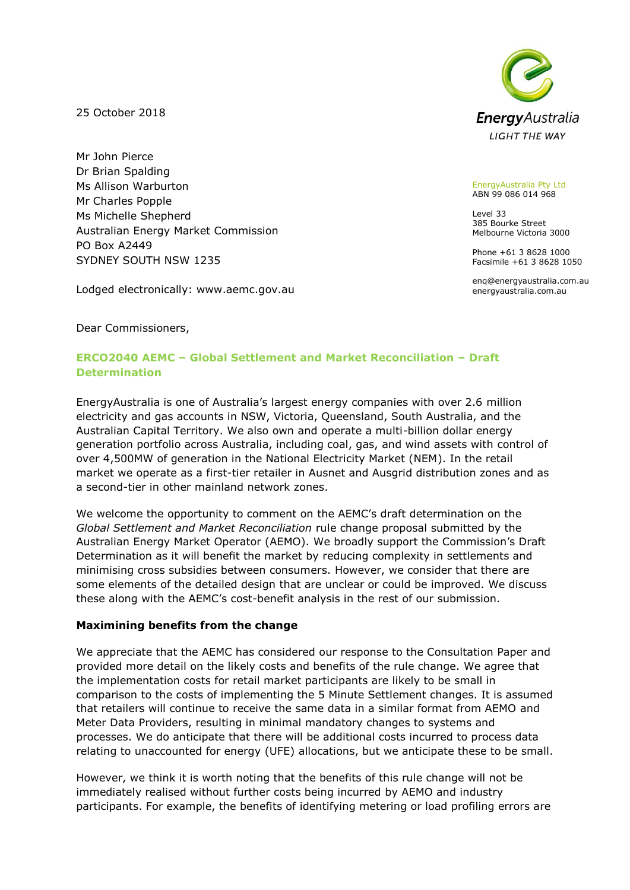25 October 2018

Mr John Pierce Dr Brian Spalding Ms Allison Warburton Mr Charles Popple Ms Michelle Shepherd Australian Energy Market Commission PO Box A2449 SYDNEY SOUTH NSW 1235

Lodged electronically: www.aemc.gov.au



EnergyAustralia Pty Ltd ABN 99 086 014 968

Level 33 385 Bourke Street Melbourne Victoria 3000

Phone +61 3 8628 1000 Facsimile +61 3 8628 1050

enq@energyaustralia.com.au energyaustralia.com.au

Dear Commissioners,

# **ERCO2040 AEMC – Global Settlement and Market Reconciliation – Draft Determination**

EnergyAustralia is one of Australia's largest energy companies with over 2.6 million electricity and gas accounts in NSW, Victoria, Queensland, South Australia, and the Australian Capital Territory. We also own and operate a multi-billion dollar energy generation portfolio across Australia, including coal, gas, and wind assets with control of over 4,500MW of generation in the National Electricity Market (NEM). In the retail market we operate as a first-tier retailer in Ausnet and Ausgrid distribution zones and as a second-tier in other mainland network zones.

We welcome the opportunity to comment on the AEMC's draft determination on the *Global Settlement and Market Reconciliation* rule change proposal submitted by the Australian Energy Market Operator (AEMO). We broadly support the Commission's Draft Determination as it will benefit the market by reducing complexity in settlements and minimising cross subsidies between consumers. However, we consider that there are some elements of the detailed design that are unclear or could be improved. We discuss these along with the AEMC's cost-benefit analysis in the rest of our submission.

### **Maximining benefits from the change**

We appreciate that the AEMC has considered our response to the Consultation Paper and provided more detail on the likely costs and benefits of the rule change. We agree that the implementation costs for retail market participants are likely to be small in comparison to the costs of implementing the 5 Minute Settlement changes. It is assumed that retailers will continue to receive the same data in a similar format from AEMO and Meter Data Providers, resulting in minimal mandatory changes to systems and processes. We do anticipate that there will be additional costs incurred to process data relating to unaccounted for energy (UFE) allocations, but we anticipate these to be small.

However, we think it is worth noting that the benefits of this rule change will not be immediately realised without further costs being incurred by AEMO and industry participants. For example, the benefits of identifying metering or load profiling errors are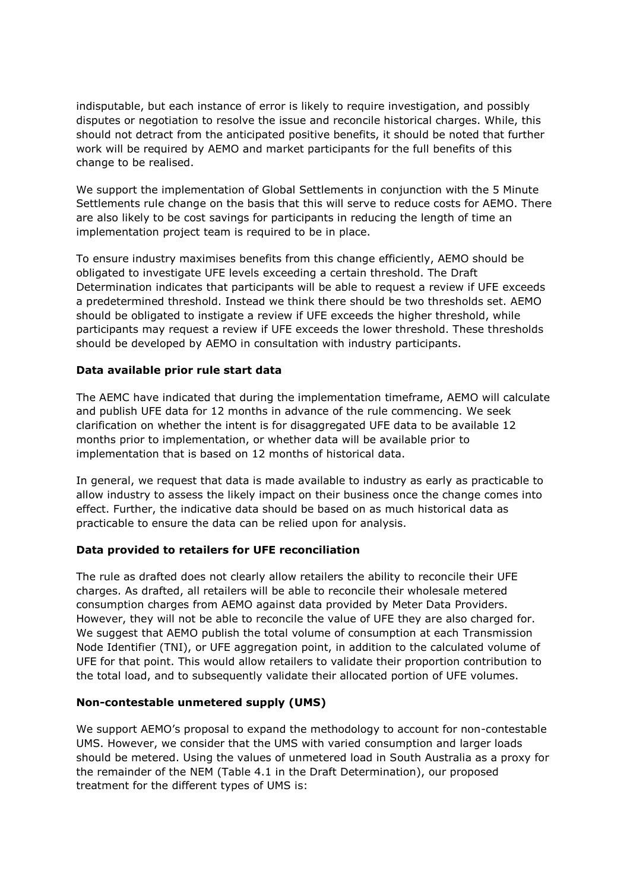indisputable, but each instance of error is likely to require investigation, and possibly disputes or negotiation to resolve the issue and reconcile historical charges. While, this should not detract from the anticipated positive benefits, it should be noted that further work will be required by AEMO and market participants for the full benefits of this change to be realised.

We support the implementation of Global Settlements in conjunction with the 5 Minute Settlements rule change on the basis that this will serve to reduce costs for AEMO. There are also likely to be cost savings for participants in reducing the length of time an implementation project team is required to be in place.

To ensure industry maximises benefits from this change efficiently, AEMO should be obligated to investigate UFE levels exceeding a certain threshold. The Draft Determination indicates that participants will be able to request a review if UFE exceeds a predetermined threshold. Instead we think there should be two thresholds set. AEMO should be obligated to instigate a review if UFE exceeds the higher threshold, while participants may request a review if UFE exceeds the lower threshold. These thresholds should be developed by AEMO in consultation with industry participants.

### **Data available prior rule start data**

The AEMC have indicated that during the implementation timeframe, AEMO will calculate and publish UFE data for 12 months in advance of the rule commencing. We seek clarification on whether the intent is for disaggregated UFE data to be available 12 months prior to implementation, or whether data will be available prior to implementation that is based on 12 months of historical data.

In general, we request that data is made available to industry as early as practicable to allow industry to assess the likely impact on their business once the change comes into effect. Further, the indicative data should be based on as much historical data as practicable to ensure the data can be relied upon for analysis.

#### **Data provided to retailers for UFE reconciliation**

The rule as drafted does not clearly allow retailers the ability to reconcile their UFE charges. As drafted, all retailers will be able to reconcile their wholesale metered consumption charges from AEMO against data provided by Meter Data Providers. However, they will not be able to reconcile the value of UFE they are also charged for. We suggest that AEMO publish the total volume of consumption at each Transmission Node Identifier (TNI), or UFE aggregation point, in addition to the calculated volume of UFE for that point. This would allow retailers to validate their proportion contribution to the total load, and to subsequently validate their allocated portion of UFE volumes.

#### **Non-contestable unmetered supply (UMS)**

We support AEMO's proposal to expand the methodology to account for non-contestable UMS. However, we consider that the UMS with varied consumption and larger loads should be metered. Using the values of unmetered load in South Australia as a proxy for the remainder of the NEM (Table 4.1 in the Draft Determination), our proposed treatment for the different types of UMS is: